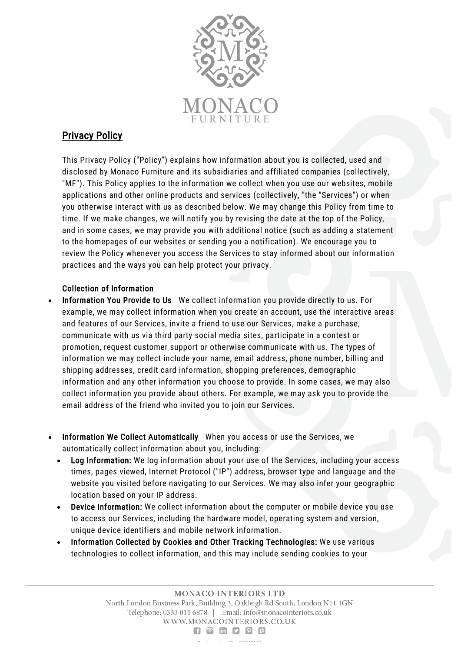

# Privacy Policy

This Privacy Policy ("Policy") explains how information about you is collected, used and disclosed by Monaco Furniture and its subsidiaries and affiliated companies (collectively, "MF"). This Policy applies to the information we collect when you use our websites, mobile applications and other online products and services (collectively, "the "Services") or when you otherwise interact with us as described below. We may change this Policy from time to time. If we make changes, we will notify you by revising the date at the top of the Policy, and in some cases, we may provide you with additional notice (such as adding a statement to the homepages of our websites or sending you a notification). We encourage you to review the Policy whenever you access the Services to stay informed about our information practices and the ways you can help protect your privacy.

# Collection of Information

- Information You Provide to Us We collect information you provide directly to us. For example, we may collect information when you create an account, use the interactive areas and features of our Services, invite a friend to use our Services, make a purchase, communicate with us via third party social media sites, participate in a contest or promotion, request customer support or otherwise communicate with us. The types of information we may collect include your name, email address, phone number, billing and shipping addresses, credit card information, shopping preferences, demographic information and any other information you choose to provide. In some cases, we may also collect information you provide about others. For example, we may ask you to provide the email address of the friend who invited you to join our Services.
- Information We Collect Automatically When you access or use the Services, we automatically collect information about you, including:
	- Log Information: We log information about your use of the Services, including your access times, pages viewed, Internet Protocol ("IP") address, browser type and language and the website you visited before navigating to our Services. We may also infer your geographic location based on your IP address.
	- Device Information: We collect information about the computer or mobile device you use to access our Services, including the hardware model, operating system and version, unique device identifiers and mobile network information.
	- Information Collected by Cookies and Other Tracking Technologies: We use various technologies to collect information, and this may include sending cookies to your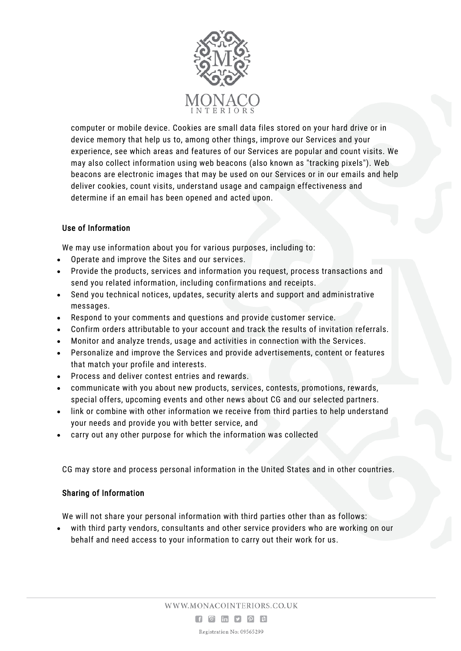

computer or mobile device. Cookies are small data files stored on your hard drive or in device memory that help us to, among other things, improve our Services and your experience, see which areas and features of our Services are popular and count visits. We may also collect information using web beacons (also known as "tracking pixels"). Web beacons are electronic images that may be used on our Services or in our emails and help deliver cookies, count visits, understand usage and campaign effectiveness and determine if an email has been opened and acted upon.

# Use of Information

We may use information about you for various purposes, including to:

- Operate and improve the Sites and our services.
- Provide the products, services and information you request, process transactions and send you related information, including confirmations and receipts.
- Send you technical notices, updates, security alerts and support and administrative messages.
- Respond to your comments and questions and provide customer service.
- Confirm orders attributable to your account and track the results of invitation referrals.
- Monitor and analyze trends, usage and activities in connection with the Services.
- Personalize and improve the Services and provide advertisements, content or features that match your profile and interests.
- Process and deliver contest entries and rewards.
- communicate with you about new products, services, contests, promotions, rewards, special offers, upcoming events and other news about CG and our selected partners.
- link or combine with other information we receive from third parties to help understand your needs and provide you with better service, and
- carry out any other purpose for which the information was collected

CG may store and process personal information in the United States and in other countries.

# Sharing of Information

We will not share your personal information with third parties other than as follows:

• with third party vendors, consultants and other service providers who are working on our behalf and need access to your information to carry out their work for us.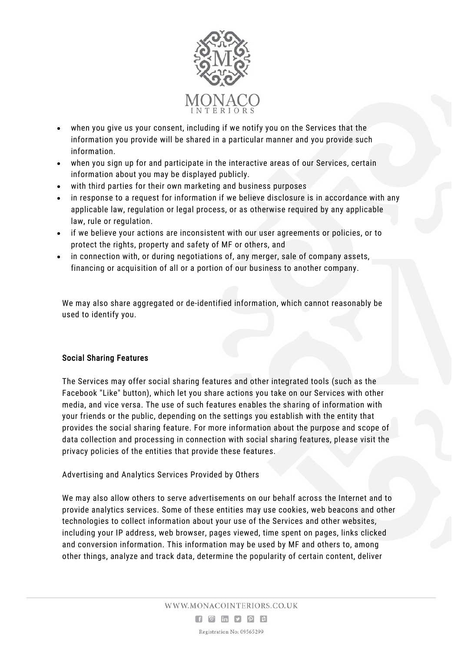

- when you give us your consent, including if we notify you on the Services that the information you provide will be shared in a particular manner and you provide such information.
- when you sign up for and participate in the interactive areas of our Services, certain information about you may be displayed publicly.
- with third parties for their own marketing and business purposes
- in response to a request for information if we believe disclosure is in accordance with any applicable law, regulation or legal process, or as otherwise required by any applicable law, rule or regulation.
- if we believe your actions are inconsistent with our user agreements or policies, or to protect the rights, property and safety of MF or others, and
- in connection with, or during negotiations of, any merger, sale of company assets, financing or acquisition of all or a portion of our business to another company.

We may also share aggregated or de-identified information, which cannot reasonably be used to identify you.

# Social Sharing Features

The Services may offer social sharing features and other integrated tools (such as the Facebook "Like" button), which let you share actions you take on our Services with other media, and vice versa. The use of such features enables the sharing of information with your friends or the public, depending on the settings you establish with the entity that provides the social sharing feature. For more information about the purpose and scope of data collection and processing in connection with social sharing features, please visit the privacy policies of the entities that provide these features.

Advertising and Analytics Services Provided by Others

We may also allow others to serve advertisements on our behalf across the Internet and to provide analytics services. Some of these entities may use cookies, web beacons and other technologies to collect information about your use of the Services and other websites, including your IP address, web browser, pages viewed, time spent on pages, links clicked and conversion information. This information may be used by MF and others to, among other things, analyze and track data, determine the popularity of certain content, deliver